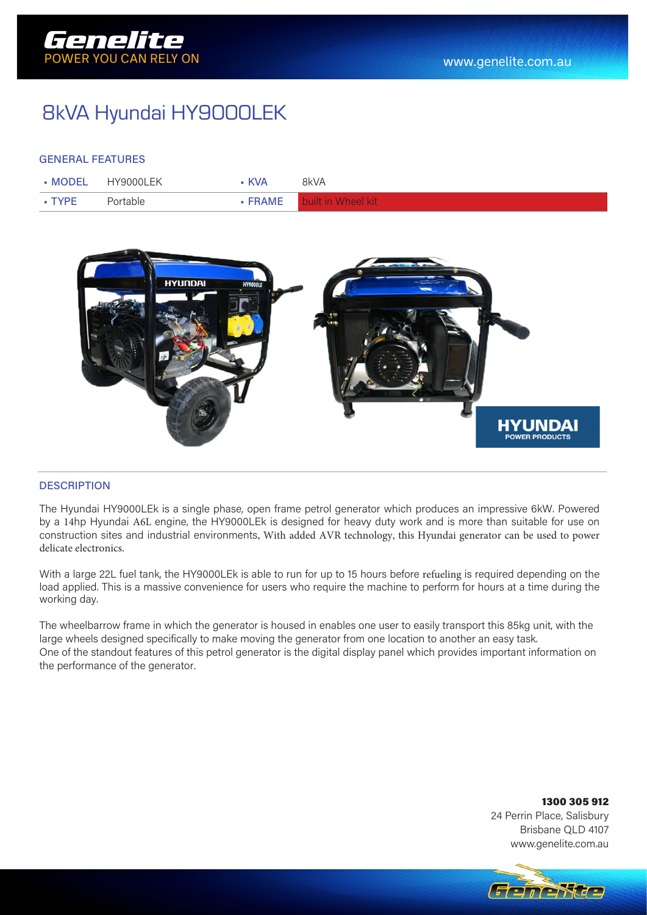

# 8kVA Hyundai HY9000LEK

### GENERAL FEATURES

|              | • MODEL HY9000LEK | <b>KVA</b> | 8kVA                       |
|--------------|-------------------|------------|----------------------------|
| $\cdot$ TYPE | Portable          |            | • FRAME built in Wheel kit |



#### **DESCRIPTION**

The Hyundai HY9000LEk is a single phase, open frame petrol generator which produces an impressive 6kW. Powered by a 14hp Hyundai A6L engine, the HY9000LEk is designed for heavy duty work and is more than suitable for use on construction sites and industrial environments, With added AVR technology, this Hyundai generator can be used to power delicate electronics.

With a large 22L fuel tank, the HY9000LEk is able to run for up to 15 hours before refueling is required depending on the load applied. This is a massive convenience for users who require the machine to perform for hours at a time during the working day.

The wheelbarrow frame in which the generator is housed in enables one user to easily transport this 85kg unit, with the large wheels designed specifically to make moving the generator from one location to another an easy task. One of the standout features of this petrol generator is the digital display panel which provides important information on the performance of the generator.

#### 1300 305 912 24 Perrin Place, Salisbury Brisbane QLD 4107 www.genelite.com.au